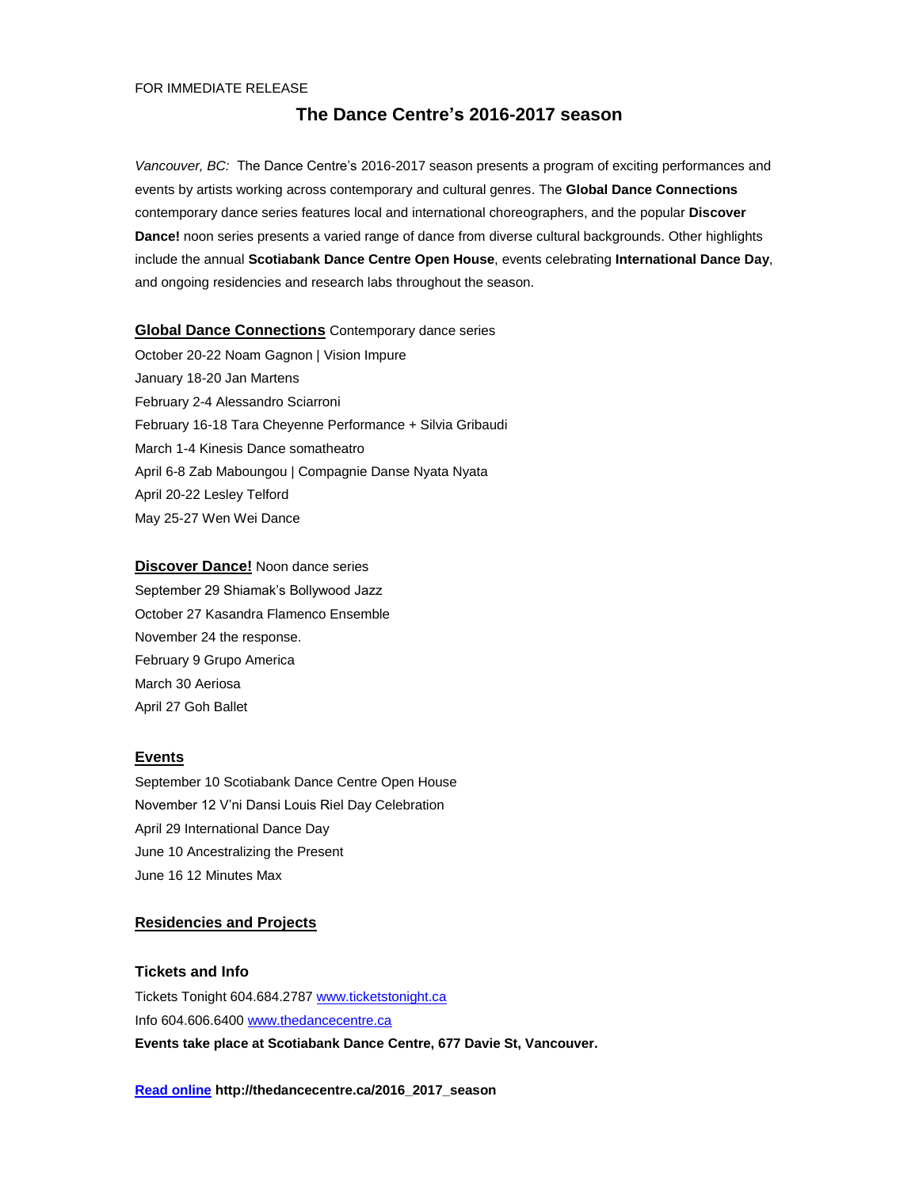#### FOR IMMEDIATE RELEASE

# **The Dance Centre's 2016-2017 season**

*Vancouver, BC:* The Dance Centre's 2016-2017 season presents a program of exciting performances and events by artists working across contemporary and cultural genres. The **Global Dance Connections** contemporary dance series features local and international choreographers, and the popular **Discover Dance!** noon series presents a varied range of dance from diverse cultural backgrounds. Other highlights include the annual **Scotiabank Dance Centre Open House**, events celebrating **International Dance Day**, and ongoing residencies and research labs throughout the season.

# **Global Dance Connections** Contemporary dance series

October 20-22 Noam Gagnon | Vision Impure January 18-20 Jan Martens February 2-4 Alessandro Sciarroni February 16-18 Tara Cheyenne Performance + Silvia Gribaudi March 1-4 Kinesis Dance somatheatro April 6-8 Zab Maboungou | Compagnie Danse Nyata Nyata April 20-22 Lesley Telford May 25-27 Wen Wei Dance

# **Discover Dance!** Noon dance series

September 29 Shiamak's Bollywood Jazz October 27 Kasandra Flamenco Ensemble November 24 the response. February 9 Grupo America March 30 Aeriosa April 27 Goh Ballet

# **Events**

September 10 Scotiabank Dance Centre Open House November 12 V'ni Dansi Louis Riel Day Celebration April 29 International Dance Day June 10 Ancestralizing the Present June 16 12 Minutes Max

# **Residencies and Projects**

# **Tickets and Info**

Tickets Tonight 604.684.2787 [www.ticketstonight.ca](http://www.ticketstonight.ca/) Info 604.606.6400 [www.thedancecentre.ca](http://www.thedancecentre.ca/) **Events take place at Scotiabank Dance Centre, 677 Davie St, Vancouver.**

**[Read online](http://thedancecentre.ca/the_dance_centre_s_2015_2016_season) http://thedancecentre.ca/2016\_2017\_season**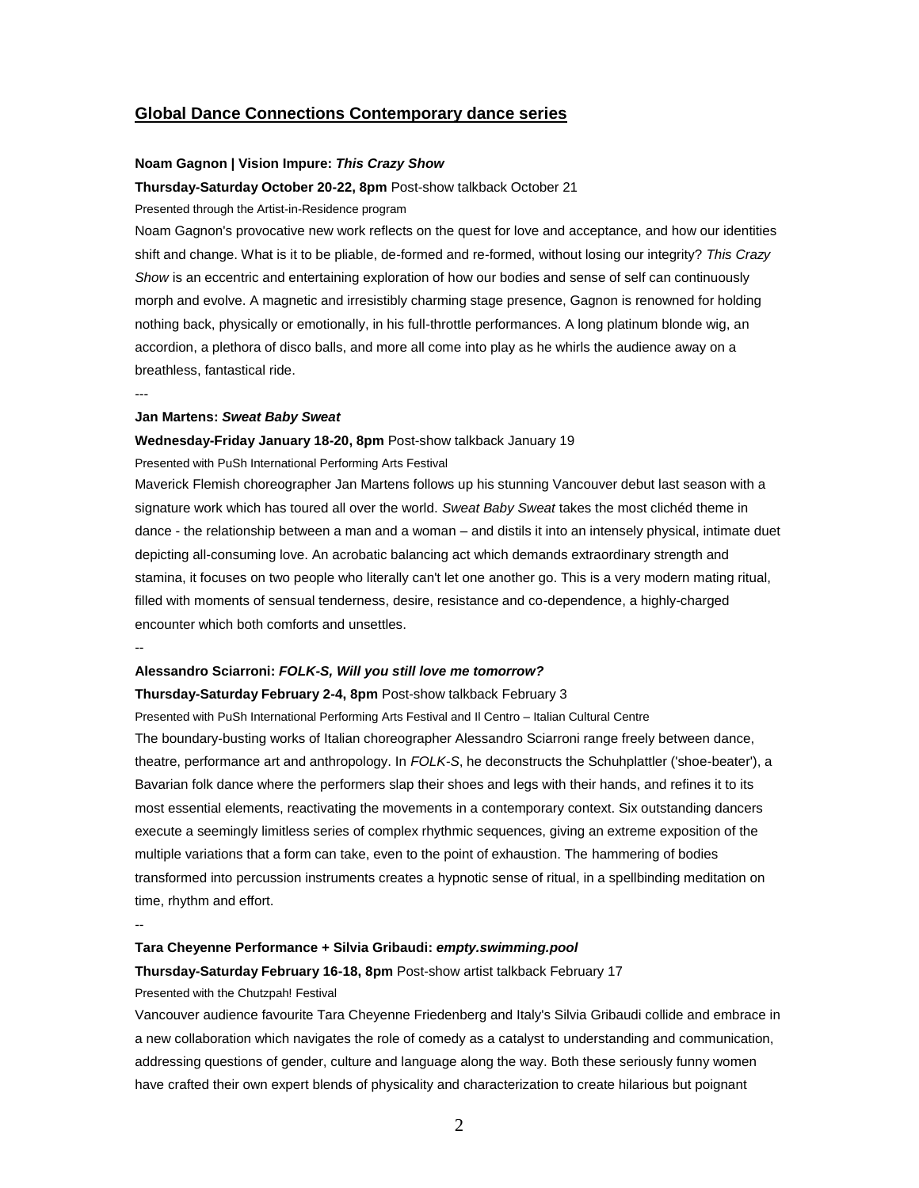# **Global Dance Connections Contemporary dance series**

# **Noam Gagnon | Vision Impure:** *This Crazy Show*

**Thursday-Saturday October 20-22, 8pm** Post-show talkback October 21

Presented through the Artist-in-Residence program

Noam Gagnon's provocative new work reflects on the quest for love and acceptance, and how our identities shift and change. What is it to be pliable, de-formed and re-formed, without losing our integrity? *This Crazy Show* is an eccentric and entertaining exploration of how our bodies and sense of self can continuously morph and evolve. A magnetic and irresistibly charming stage presence, Gagnon is renowned for holding nothing back, physically or emotionally, in his full-throttle performances. A long platinum blonde wig, an accordion, a plethora of disco balls, and more all come into play as he whirls the audience away on a breathless, fantastical ride.

#### **Jan Martens:** *Sweat Baby Sweat*

# **Wednesday-Friday January 18-20, 8pm** Post-show talkback January 19

Presented with PuSh International Performing Arts Festival

Maverick Flemish choreographer Jan Martens follows up his stunning Vancouver debut last season with a signature work which has toured all over the world. *Sweat Baby Sweat* takes the most clichéd theme in dance - the relationship between a man and a woman – and distils it into an intensely physical, intimate duet depicting all-consuming love. An acrobatic balancing act which demands extraordinary strength and stamina, it focuses on two people who literally can't let one another go. This is a very modern mating ritual, filled with moments of sensual tenderness, desire, resistance and co-dependence, a highly-charged encounter which both comforts and unsettles.

--

---

## **Alessandro Sciarroni:** *FOLK-S, Will you still love me tomorrow?*

**Thursday-Saturday February 2-4, 8pm** Post-show talkback February 3

Presented with PuSh International Performing Arts Festival and Il Centro – Italian Cultural Centre The boundary-busting works of Italian choreographer Alessandro Sciarroni range freely between dance, theatre, performance art and anthropology. In *FOLK-S*, he deconstructs the Schuhplattler ('shoe-beater'), a Bavarian folk dance where the performers slap their shoes and legs with their hands, and refines it to its most essential elements, reactivating the movements in a contemporary context. Six outstanding dancers execute a seemingly limitless series of complex rhythmic sequences, giving an extreme exposition of the multiple variations that a form can take, even to the point of exhaustion. The hammering of bodies transformed into percussion instruments creates a hypnotic sense of ritual, in a spellbinding meditation on time, rhythm and effort.

--

# **Tara Cheyenne Performance + Silvia Gribaudi:** *empty.swimming.pool*

**Thursday-Saturday February 16-18, 8pm** Post-show artist talkback February 17

#### Presented with the Chutzpah! Festival

Vancouver audience favourite Tara Cheyenne Friedenberg and Italy's Silvia Gribaudi collide and embrace in a new collaboration which navigates the role of comedy as a catalyst to understanding and communication, addressing questions of gender, culture and language along the way. Both these seriously funny women have crafted their own expert blends of physicality and characterization to create hilarious but poignant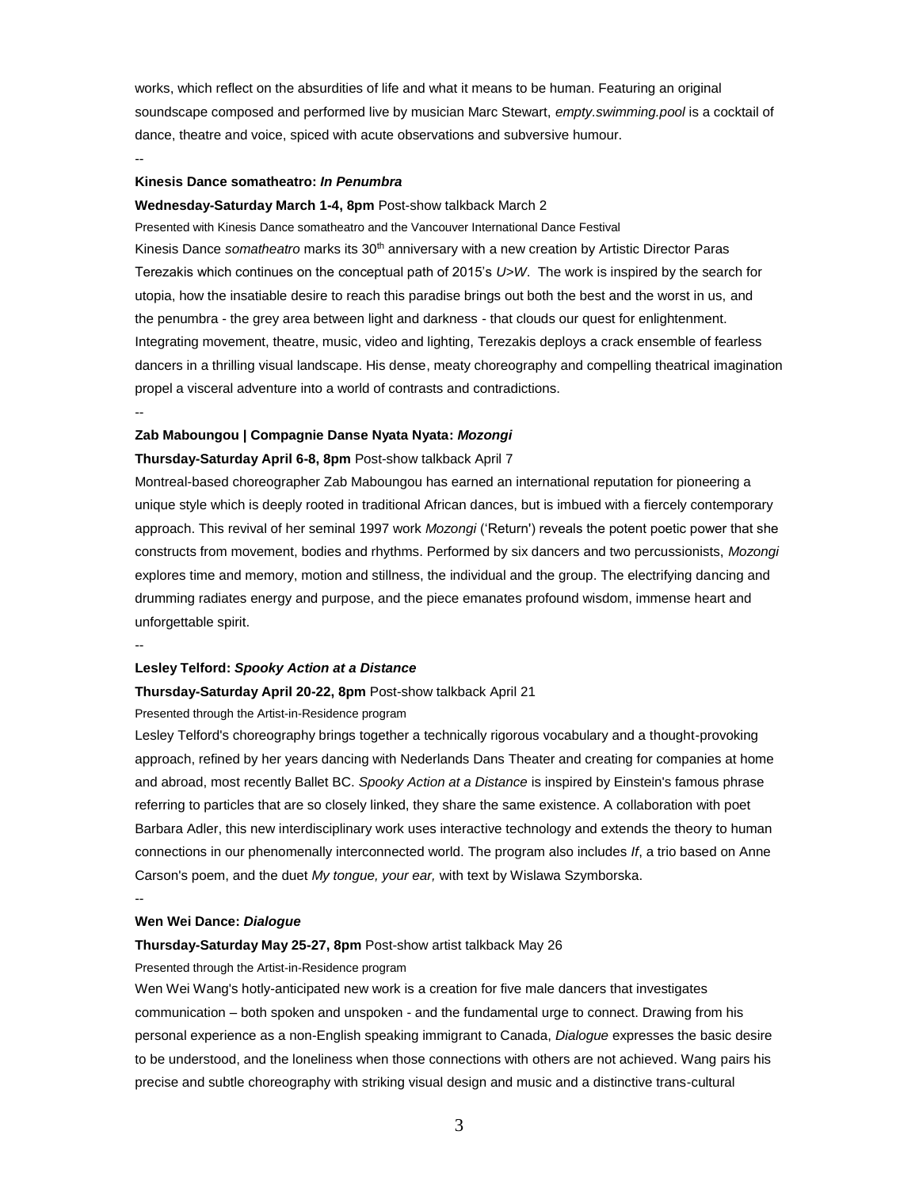works, which reflect on the absurdities of life and what it means to be human. Featuring an original soundscape composed and performed live by musician Marc Stewart, *empty.swimming.pool* is a cocktail of dance, theatre and voice, spiced with acute observations and subversive humour.

--

## **Kinesis Dance somatheatro:** *In Penumbra*

## **Wednesday-Saturday March 1-4, 8pm** Post-show talkback March 2

Presented with Kinesis Dance somatheatro and the Vancouver International Dance Festival Kinesis Dance *somatheatro* marks its 30th anniversary with a new creation by Artistic Director Paras Terezakis which continues on the conceptual path of 2015's *U>W*. The work is inspired by the search for utopia, how the insatiable desire to reach this paradise brings out both the best and the worst in us, and the penumbra - the grey area between light and darkness - that clouds our quest for enlightenment. Integrating movement, theatre, music, video and lighting, Terezakis deploys a crack ensemble of fearless dancers in a thrilling visual landscape. His dense, meaty choreography and compelling theatrical imagination propel a visceral adventure into a world of contrasts and contradictions. --

#### **Zab Maboungou | Compagnie Danse Nyata Nyata:** *Mozongi*

#### **Thursday-Saturday April 6-8, 8pm** Post-show talkback April 7

Montreal-based choreographer Zab Maboungou has earned an international reputation for pioneering a unique style which is deeply rooted in traditional African dances, but is imbued with a fiercely contemporary approach. This revival of her seminal 1997 work *Mozongi* ('Return') reveals the potent poetic power that she constructs from movement, bodies and rhythms. Performed by six dancers and two percussionists, *Mozongi* explores time and memory, motion and stillness, the individual and the group. The electrifying dancing and drumming radiates energy and purpose, and the piece emanates profound wisdom, immense heart and unforgettable spirit.

--

#### **Lesley Telford:** *Spooky Action at a Distance*

# **Thursday-Saturday April 20-22, 8pm** Post-show talkback April 21

Presented through the Artist-in-Residence program

Lesley Telford's choreography brings together a technically rigorous vocabulary and a thought-provoking approach, refined by her years dancing with Nederlands Dans Theater and creating for companies at home and abroad, most recently Ballet BC. *Spooky Action at a Distance* is inspired by Einstein's famous phrase referring to particles that are so closely linked, they share the same existence. A collaboration with poet Barbara Adler, this new interdisciplinary work uses interactive technology and extends the theory to human connections in our phenomenally interconnected world. The program also includes *If*, a trio based on Anne Carson's poem, and the duet *My tongue, your ear,* with text by Wislawa Szymborska.

--

## **Wen Wei Dance:** *Dialogue*

#### **Thursday-Saturday May 25-27, 8pm** Post-show artist talkback May 26

Presented through the Artist-in-Residence program

Wen Wei Wang's hotly-anticipated new work is a creation for five male dancers that investigates communication – both spoken and unspoken - and the fundamental urge to connect. Drawing from his personal experience as a non-English speaking immigrant to Canada, *Dialogue* expresses the basic desire to be understood, and the loneliness when those connections with others are not achieved. Wang pairs his precise and subtle choreography with striking visual design and music and a distinctive trans-cultural

3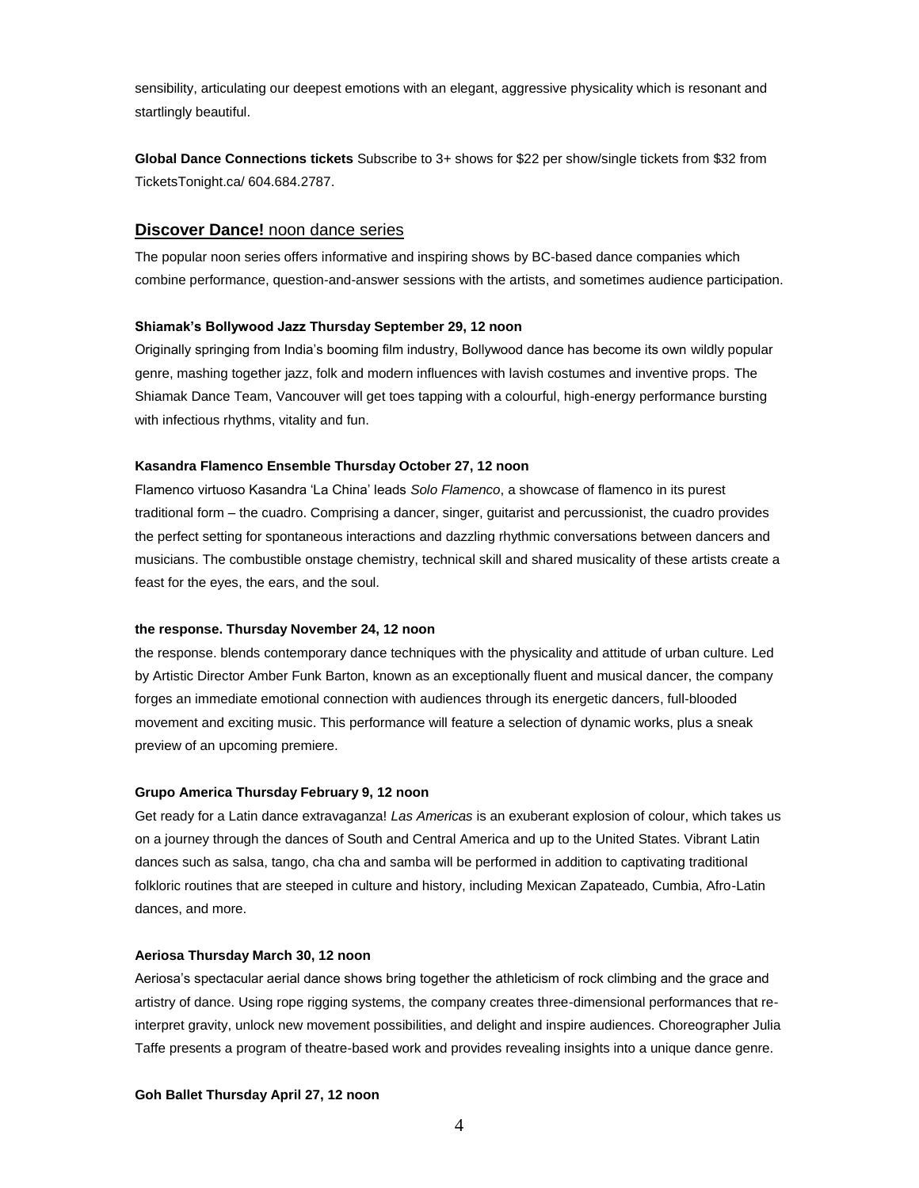sensibility, articulating our deepest emotions with an elegant, aggressive physicality which is resonant and startlingly beautiful.

**Global Dance Connections tickets** Subscribe to 3+ shows for \$22 per show/single tickets from \$32 from TicketsTonight.ca/ 604.684.2787.

# **Discover Dance!** noon dance series

The popular noon series offers informative and inspiring shows by BC-based dance companies which combine performance, question-and-answer sessions with the artists, and sometimes audience participation.

#### **Shiamak's Bollywood Jazz Thursday September 29, 12 noon**

Originally springing from India's booming film industry, Bollywood dance has become its own wildly popular genre, mashing together jazz, folk and modern influences with lavish costumes and inventive props. The Shiamak Dance Team, Vancouver will get toes tapping with a colourful, high-energy performance bursting with infectious rhythms, vitality and fun.

## **Kasandra Flamenco Ensemble Thursday October 27, 12 noon**

Flamenco virtuoso Kasandra 'La China' leads *Solo Flamenco*, a showcase of flamenco in its purest traditional form – the cuadro. Comprising a dancer, singer, guitarist and percussionist, the cuadro provides the perfect setting for spontaneous interactions and dazzling rhythmic conversations between dancers and musicians. The combustible onstage chemistry, technical skill and shared musicality of these artists create a feast for the eyes, the ears, and the soul.

## **the response. Thursday November 24, 12 noon**

the response. blends contemporary dance techniques with the physicality and attitude of urban culture. Led by Artistic Director Amber Funk Barton, known as an exceptionally fluent and musical dancer, the company forges an immediate emotional connection with audiences through its energetic dancers, full-blooded movement and exciting music. This performance will feature a selection of dynamic works, plus a sneak preview of an upcoming premiere.

# **Grupo America Thursday February 9, 12 noon**

Get ready for a Latin dance extravaganza! *Las Americas* is an exuberant explosion of colour, which takes us on a journey through the dances of South and Central America and up to the United States. Vibrant Latin dances such as salsa, tango, cha cha and samba will be performed in addition to captivating traditional folkloric routines that are steeped in culture and history, including Mexican Zapateado, Cumbia, Afro-Latin dances, and more.

# **Aeriosa Thursday March 30, 12 noon**

Aeriosa's spectacular aerial dance shows bring together the athleticism of rock climbing and the grace and artistry of dance. Using rope rigging systems, the company creates three-dimensional performances that reinterpret gravity, unlock new movement possibilities, and delight and inspire audiences. Choreographer Julia Taffe presents a program of theatre-based work and provides revealing insights into a unique dance genre.

#### **Goh Ballet Thursday April 27, 12 noon**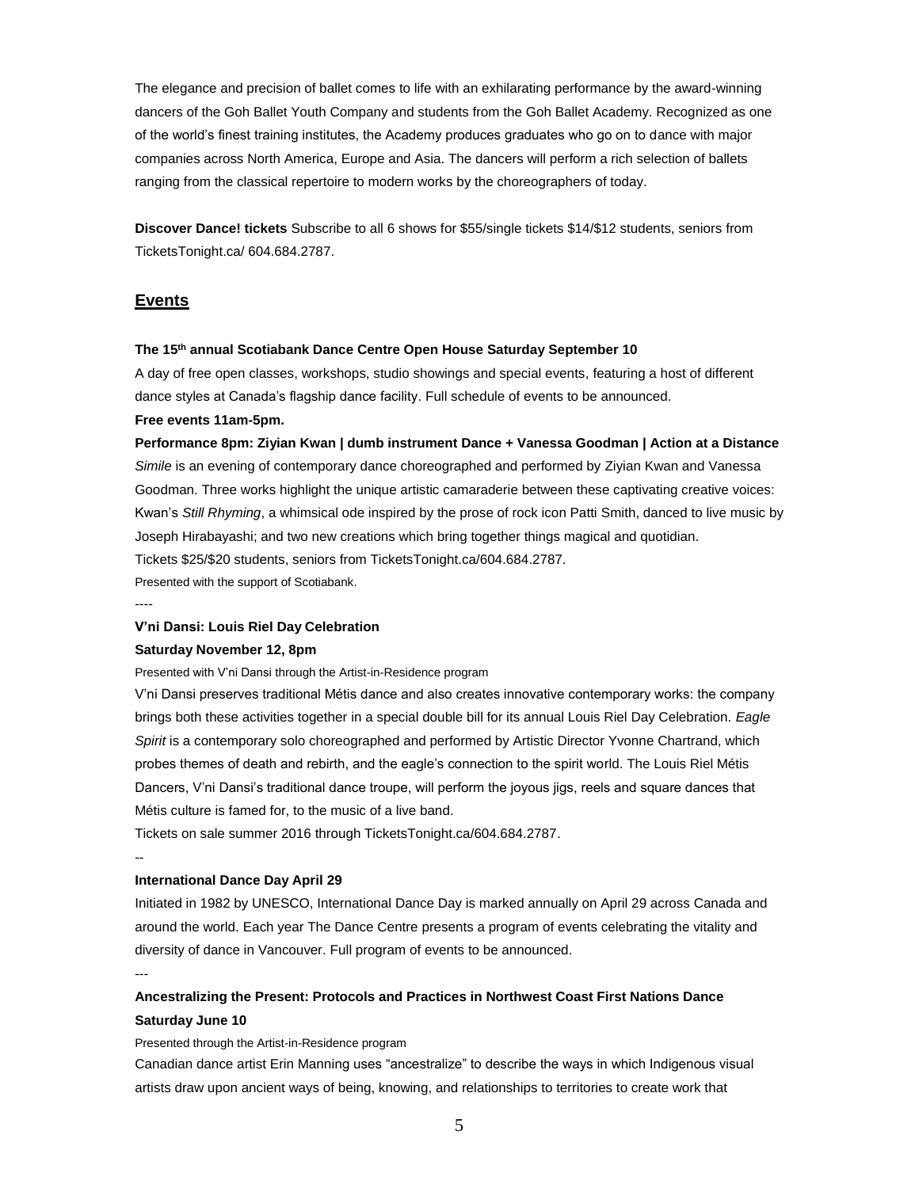The elegance and precision of ballet comes to life with an exhilarating performance by the award-winning dancers of the Goh Ballet Youth Company and students from the Goh Ballet Academy. Recognized as one of the world's finest training institutes, the Academy produces graduates who go on to dance with major companies across North America, Europe and Asia. The dancers will perform a rich selection of ballets ranging from the classical repertoire to modern works by the choreographers of today.

**Discover Dance! tickets** Subscribe to all 6 shows for \$55/single tickets \$14/\$12 students, seniors from TicketsTonight.ca/ 604.684.2787.

# **Events**

## **The 15th annual Scotiabank Dance Centre Open House Saturday September 10**

A day of free open classes, workshops, studio showings and special events, featuring a host of different dance styles at Canada's flagship dance facility. Full schedule of events to be announced.

## **Free events 11am-5pm.**

**Performance 8pm: Ziyian Kwan | dumb instrument Dance + Vanessa Goodman | Action at a Distance** *Simile* is an evening of contemporary dance choreographed and performed by Ziyian Kwan and Vanessa Goodman. Three works highlight the unique artistic camaraderie between these captivating creative voices: Kwan's *Still Rhyming*, a whimsical ode inspired by the prose of rock icon Patti Smith, danced to live music by Joseph Hirabayashi; and two new creations which bring together things magical and quotidian. Tickets \$25/\$20 students, seniors from TicketsTonight.ca/604.684.2787. Presented with the support of Scotiabank.

----

#### **V'ni Dansi: Louis Riel Day Celebration**

## **Saturday November 12, 8pm**

Presented with V'ni Dansi through the Artist-in-Residence program

V'ni Dansi preserves traditional Métis dance and also creates innovative contemporary works: the company brings both these activities together in a special double bill for its annual Louis Riel Day Celebration. *Eagle Spirit* is a contemporary solo choreographed and performed by Artistic Director Yvonne Chartrand, which probes themes of death and rebirth, and the eagle's connection to the spirit world. The Louis Riel Métis Dancers, V'ni Dansi's traditional dance troupe, will perform the joyous jigs, reels and square dances that Métis culture is famed for, to the music of a live band.

Tickets on sale summer 2016 through TicketsTonight.ca/604.684.2787.

# **International Dance Day April 29**

Initiated in 1982 by UNESCO, International Dance Day is marked annually on April 29 across Canada and around the world. Each year The Dance Centre presents a program of events celebrating the vitality and diversity of dance in Vancouver. Full program of events to be announced.

---

--

# **Ancestralizing the Present: Protocols and Practices in Northwest Coast First Nations Dance Saturday June 10**

Presented through the Artist-in-Residence program

Canadian dance artist Erin Manning uses "ancestralize" to describe the ways in which Indigenous visual artists draw upon ancient ways of being, knowing, and relationships to territories to create work that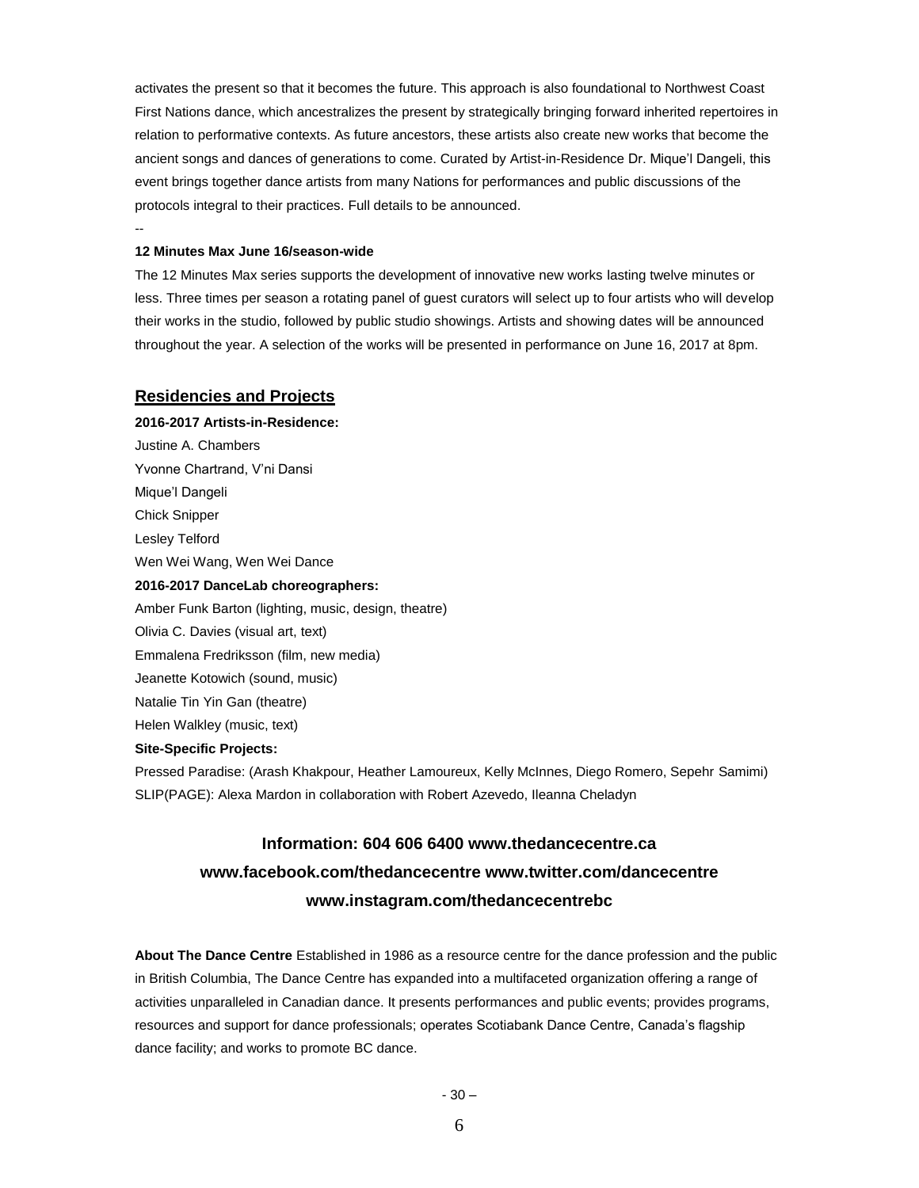activates the present so that it becomes the future. This approach is also foundational to Northwest Coast First Nations dance, which ancestralizes the present by strategically bringing forward inherited repertoires in relation to performative contexts. As future ancestors, these artists also create new works that become the ancient songs and dances of generations to come. Curated by Artist-in-Residence Dr. Mique'l Dangeli, this event brings together dance artists from many Nations for performances and public discussions of the protocols integral to their practices. Full details to be announced.

# **12 Minutes Max June 16/season-wide**

--

The 12 Minutes Max series supports the development of innovative new works lasting twelve minutes or less. Three times per season a rotating panel of guest curators will select up to four artists who will develop their works in the studio, followed by public studio showings. Artists and showing dates will be announced throughout the year. A selection of the works will be presented in performance on June 16, 2017 at 8pm.

# **Residencies and Projects**

**2016-2017 Artists-in-Residence:** Justine A. Chambers Yvonne Chartrand, V'ni Dansi Mique'l Dangeli Chick Snipper Lesley Telford Wen Wei Wang, Wen Wei Dance **2016-2017 DanceLab choreographers:** Amber Funk Barton (lighting, music, design, theatre) Olivia C. Davies (visual art, text) Emmalena Fredriksson (film, new media) Jeanette Kotowich (sound, music) Natalie Tin Yin Gan (theatre) Helen Walkley (music, text) **Site-Specific Projects:** Pressed Paradise: (Arash Khakpour, Heather Lamoureux, Kelly McInnes, Diego Romero, Sepehr Samimi)

# **Information: 604 606 6400 www.thedancecentre.ca www.facebook.com/thedancecentre www.twitter.com/dancecentre www.instagram.com/thedancecentrebc**

SLIP(PAGE): Alexa Mardon in collaboration with Robert Azevedo, Ileanna Cheladyn

**About The Dance Centre** Established in 1986 as a resource centre for the dance profession and the public in British Columbia, The Dance Centre has expanded into a multifaceted organization offering a range of activities unparalleled in Canadian dance. It presents performances and public events; provides programs, resources and support for dance professionals; operates Scotiabank Dance Centre, Canada's flagship dance facility; and works to promote BC dance.